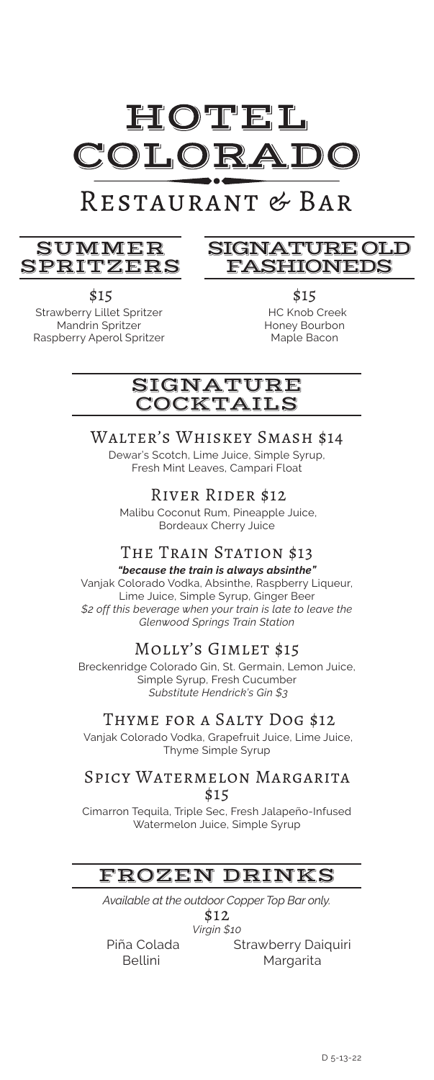

# RESTAURANT & BAR

### SUMMER SPRITZERS

### SIGNATURE OLD FASHIONEDS

 \$15 Strawberry Lillet Spritzer Mandrin Spritzer Raspberry Aperol Spritzer

\$15 HC Knob Creek Honey Bourbon Maple Bacon

### SIGNATURE COCKTAILS

# Walter's Whiskey Smash \$14

Dewar's Scotch, Lime Juice, Simple Syrup, Fresh Mint Leaves, Campari Float

River Rider \$12

 Malibu Coconut Rum, Pineapple Juice, Bordeaux Cherry Juice

### THE TRAIN STATION \$13

*"because the train is always absinthe"*  Vanjak Colorado Vodka, Absinthe, Raspberry Liqueur, Lime Juice, Simple Syrup, Ginger Beer *\$2 off this beverage when your train is late to leave the Glenwood Springs Train Station*

### Molly's Gimlet \$15

Breckenridge Colorado Gin, St. Germain, Lemon Juice, Simple Syrup, Fresh Cucumber *Substitute Hendrick's Gin \$3*

### Thyme for a Salty Dog \$12

 Vanjak Colorado Vodka, Grapefruit Juice, Lime Juice, Thyme Simple Syrup

#### Spicy Watermelon Margarita \$15

Cimarron Tequila, Triple Sec, Fresh Jalapeño-Infused Watermelon Juice, Simple Syrup

### FROZEN DRINKS

*Available at the outdoor Copper Top Bar only.*

\$12 *Virgin \$10* 

 Piña Colada Bellini

Strawberry Daiquiri Margarita